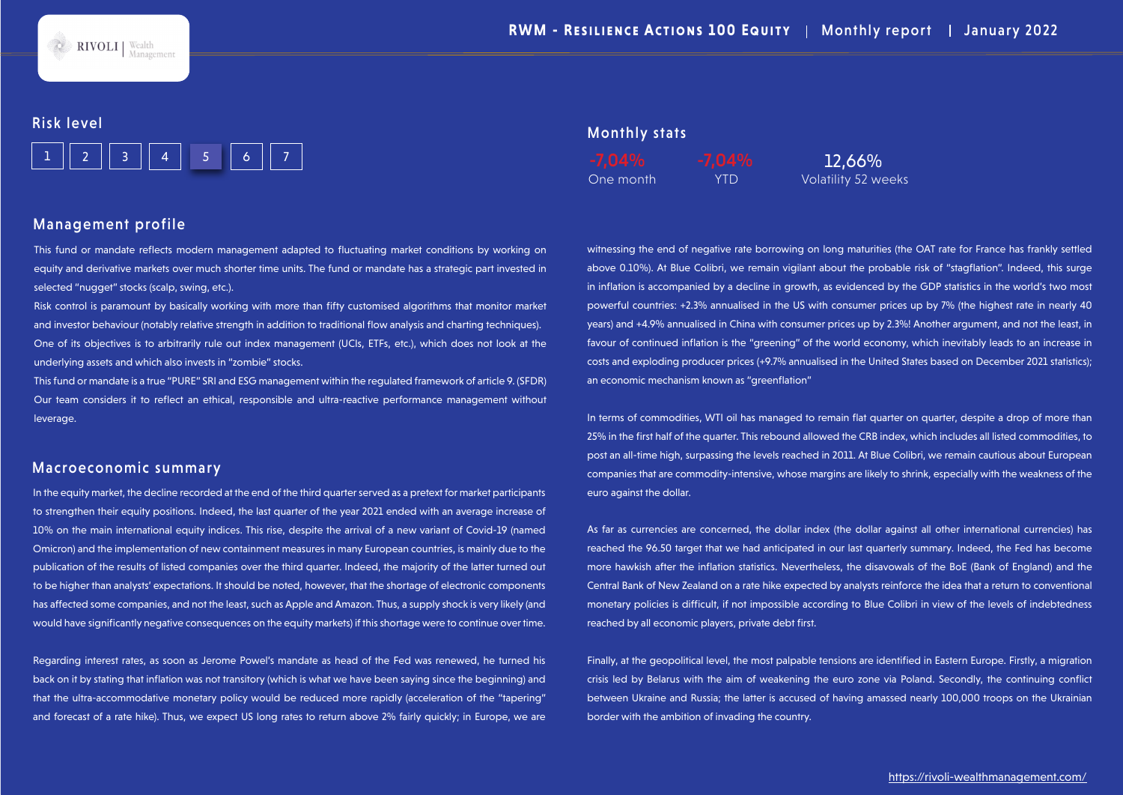

#### Risk level



#### Management profile

This fund or mandate reflects modern management adapted to fluctuating market conditions by working on equity and derivative markets over much shorter time units. The fund or mandate has a strategic part invested in selected "nugget" stocks (scalp, swing, etc.).

Risk control is paramount by basically working with more than fifty customised algorithms that monitor market and investor behaviour (notably relative strength in addition to traditional flow analysis and charting techniques). One of its objectives is to arbitrarily rule out index management (UCIs, ETFs, etc.), which does not look at the underlying assets and which also invests in "zombie" stocks.

This fund or mandate is a true "PURE" SRI and ESG management within the regulated framework of article 9. (SFDR) Our team considers it to reflect an ethical, responsible and ultra-reactive performance management without leverage.

#### Macroeconomic summary

In the equity market, the decline recorded at the end of the third quarter served as a pretext for market participants to strengthen their equity positions. Indeed, the last quarter of the year 2021 ended with an average increase of 10% on the main international equity indices. This rise, despite the arrival of a new variant of Covid-19 (named Omicron) and the implementation of new containment measures in many European countries, is mainly due to the publication of the results of listed companies over the third quarter. Indeed, the majority of the latter turned out to be higher than analysts' expectations. It should be noted, however, that the shortage of electronic components has affected some companies, and not the least, such as Apple and Amazon. Thus, a supply shock is very likely (and would have significantly negative consequences on the equity markets) if this shortage were to continue over time.

Regarding interest rates, as soon as Jerome Powel's mandate as head of the Fed was renewed, he turned his back on it by stating that inflation was not transitory (which is what we have been saying since the beginning) and that the ultra-accommodative monetary policy would be reduced more rapidly (acceleration of the "tapering" and forecast of a rate hike). Thus, we expect US long rates to return above 2% fairly quickly; in Europe, we are

### Monthly stats

One month YTD Volatility 52 weeks

witnessing the end of negative rate borrowing on long maturities (the OAT rate for France has frankly settled above 0.10%). At Blue Colibri, we remain vigilant about the probable risk of "stagflation". Indeed, this surge in inflation is accompanied by a decline in growth, as evidenced by the GDP statistics in the world's two most powerful countries: +2.3% annualised in the US with consumer prices up by 7% (the highest rate in nearly 40 years) and +4.9% annualised in China with consumer prices up by 2.3%! Another argument, and not the least, in favour of continued inflation is the "greening" of the world economy, which inevitably leads to an increase in costs and exploding producer prices (+9.7% annualised in the United States based on December 2021 statistics); an economic mechanism known as "greenflation"

In terms of commodities, WTI oil has managed to remain flat quarter on quarter, despite a drop of more than 25% in the first half of the quarter. This rebound allowed the CRB index, which includes all listed commodities, to post an all-time high, surpassing the levels reached in 2011. At Blue Colibri, we remain cautious about European companies that are commodity-intensive, whose margins are likely to shrink, especially with the weakness of the euro against the dollar.

As far as currencies are concerned, the dollar index (the dollar against all other international currencies) has reached the 96.50 target that we had anticipated in our last quarterly summary. Indeed, the Fed has become more hawkish after the inflation statistics. Nevertheless, the disavowals of the BoE (Bank of England) and the Central Bank of New Zealand on a rate hike expected by analysts reinforce the idea that a return to conventional monetary policies is difficult, if not impossible according to Blue Colibri in view of the levels of indebtedness reached by all economic players, private debt first.

Finally, at the geopolitical level, the most palpable tensions are identified in Eastern Europe. Firstly, a migration crisis led by Belarus with the aim of weakening the euro zone via Poland. Secondly, the continuing conflict between Ukraine and Russia; the latter is accused of having amassed nearly 100,000 troops on the Ukrainian border with the ambition of invading the country.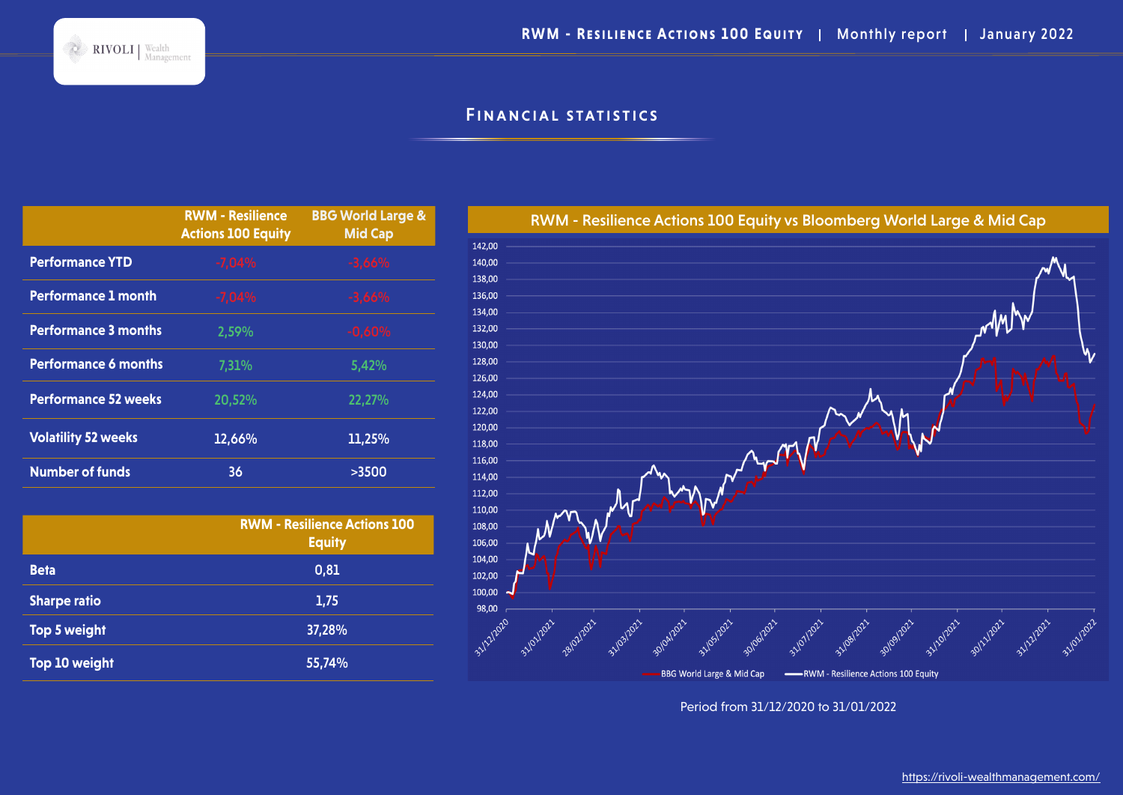# Financial statistics

|                             | <b>RWM - Resilience</b><br><b>Actions 100 Equity</b> | <b>BBG World Large &amp;</b><br><b>Mid Cap</b> |
|-----------------------------|------------------------------------------------------|------------------------------------------------|
| <b>Performance YTD</b>      | $-7,04%$                                             | $-3,66%$                                       |
| <b>Performance 1 month</b>  | $-7,04%$                                             | $-3,66%$                                       |
| <b>Performance 3 months</b> | 2,59%                                                | $-0,60%$                                       |
| <b>Performance 6 months</b> | 7,31%                                                | 5,42%                                          |
| <b>Performance 52 weeks</b> | 20,52%                                               | 22,27%                                         |
| <b>Volatility 52 weeks</b>  | 12,66%                                               | 11,25%                                         |
| <b>Number of funds</b>      | 36                                                   | >3500                                          |

|                     | <b>RWM - Resilience Actions 100</b><br><b>Equity</b> |  |
|---------------------|------------------------------------------------------|--|
| <b>Beta</b>         | 0,81                                                 |  |
| <b>Sharpe ratio</b> | 1,75                                                 |  |
| Top 5 weight        | 37,28%                                               |  |
| Top 10 weight       | 55,74%                                               |  |



Period from 31/12/2020 to 31/01/2022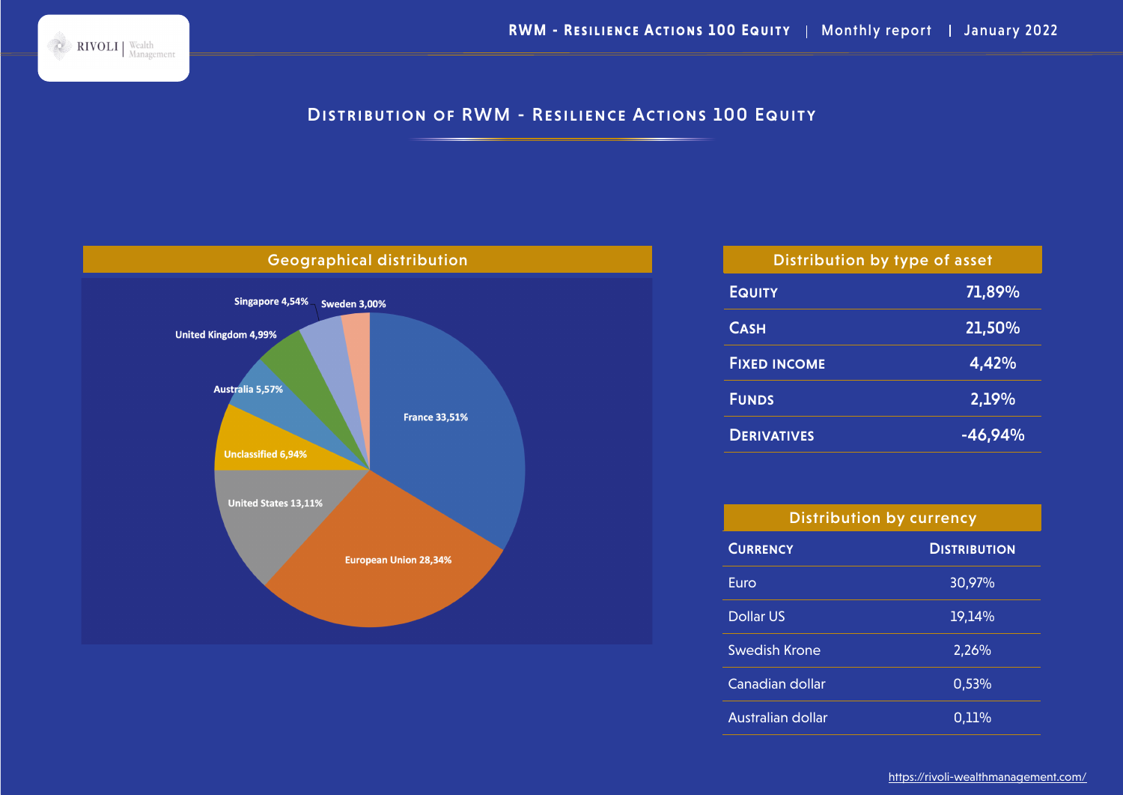

# DISTRIBUTION OF RWM - RESILIENCE ACTIONS 100 EQUITY



| Distribution by type of asset |           |  |  |  |
|-------------------------------|-----------|--|--|--|
| <b>EQUITY</b>                 | 71,89%    |  |  |  |
| <b>CASH</b>                   | 21,50%    |  |  |  |
| <b>FIXED INCOME</b>           | 4,42%     |  |  |  |
| <b>FUNDS</b>                  | 2,19%     |  |  |  |
| <b>DERIVATIVES</b>            | $-46,94%$ |  |  |  |

| <b>Distribution by currency</b> |                     |  |  |
|---------------------------------|---------------------|--|--|
| <b>CURRENCY</b>                 | <b>DISTRIBUTION</b> |  |  |
| Euro                            | 30,97%              |  |  |
| <b>Dollar US</b>                | 19,14%              |  |  |
| Swedish Krone                   | 2,26%               |  |  |
| Canadian dollar                 | 0,53%               |  |  |
| Australian dollar               | 0,11%               |  |  |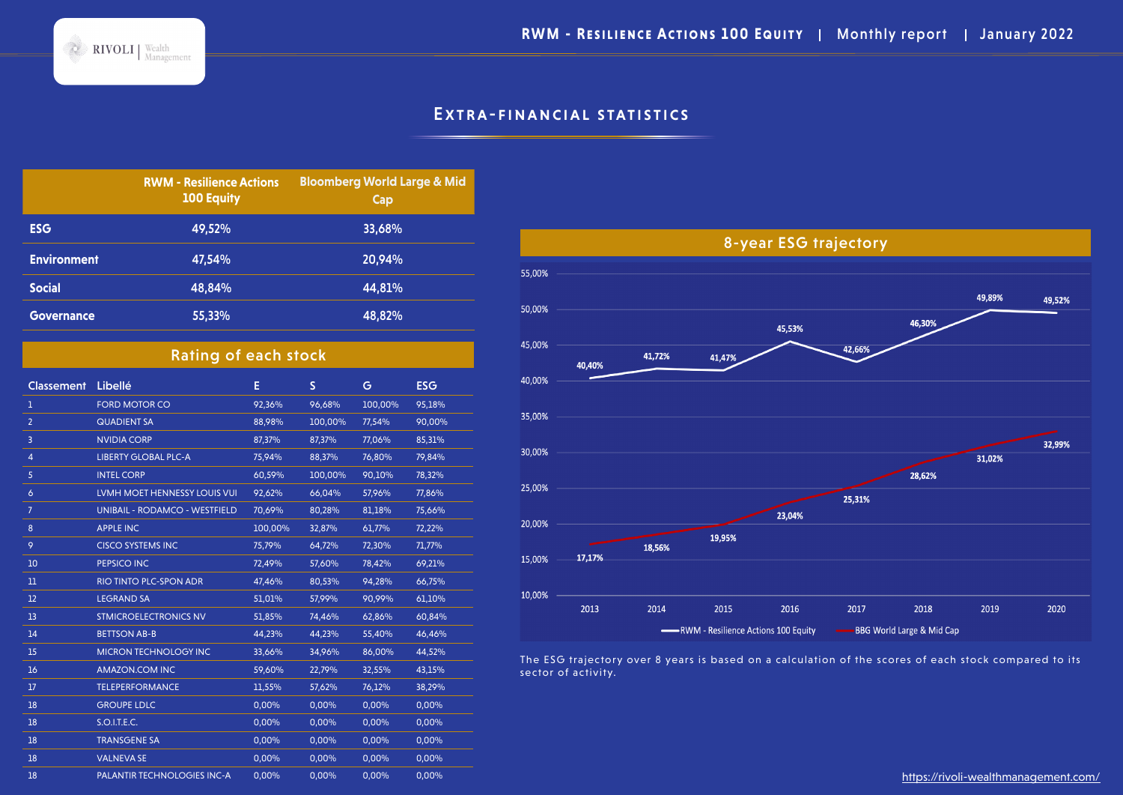**RWM - RESILIENCE ACTIONS 100 EQUITY | Monthly report | January 2022** 

## EXTRA-FINANCIAL STATISTICS

|                    | <b>RWM - Resilience Actions</b><br><b>100 Equity</b> | <b>Bloomberg World Large &amp; Mid</b><br>Cap |
|--------------------|------------------------------------------------------|-----------------------------------------------|
| <b>ESG</b>         | 49,52%                                               | 33,68%                                        |
| <b>Environment</b> | 47,54%                                               | 20,94%                                        |
| <b>Social</b>      | 48.84%                                               | 44,81%                                        |
| <b>Governance</b>  | 55,33%                                               | 48,82%                                        |

 $\sim$  RIVOLI | Wealth

## Rating of each stock

| <b>Classement</b> | Libellé                              | Е       | S       | G       | <b>ESG</b> |
|-------------------|--------------------------------------|---------|---------|---------|------------|
| 1                 | <b>FORD MOTOR CO</b>                 | 92,36%  | 96,68%  | 100,00% | 95,18%     |
| $\overline{2}$    | <b>QUADIENT SA</b>                   | 88,98%  | 100,00% | 77,54%  | 90,00%     |
| 3                 | <b>NVIDIA CORP</b>                   | 87,37%  | 87,37%  | 77,06%  | 85,31%     |
| 4                 | <b>LIBERTY GLOBAL PLC-A</b>          | 75,94%  | 88,37%  | 76,80%  | 79,84%     |
| 5                 | <b>INTEL CORP</b>                    | 60,59%  | 100,00% | 90,10%  | 78,32%     |
| 6                 | <b>LVMH MOET HENNESSY LOUIS VUI</b>  | 92,62%  | 66,04%  | 57,96%  | 77,86%     |
| 7                 | <b>UNIBAIL - RODAMCO - WESTFIELD</b> | 70,69%  | 80,28%  | 81,18%  | 75,66%     |
| $\boldsymbol{8}$  | <b>APPLE INC</b>                     | 100,00% | 32,87%  | 61,77%  | 72,22%     |
| 9                 | <b>CISCO SYSTEMS INC</b>             | 75,79%  | 64,72%  | 72,30%  | 71,77%     |
| 10                | PEPSICO INC                          | 72,49%  | 57,60%  | 78,42%  | 69,21%     |
| $_{11}$           | RIO TINTO PLC-SPON ADR               | 47,46%  | 80,53%  | 94,28%  | 66,75%     |
| 12                | <b>LEGRAND SA</b>                    | 51,01%  | 57,99%  | 90,99%  | 61,10%     |
| 13                | <b>STMICROELECTRONICS NV</b>         | 51,85%  | 74,46%  | 62,86%  | 60,84%     |
| 14                | <b>BETTSON AB-B</b>                  | 44,23%  | 44,23%  | 55,40%  | 46,46%     |
| 15                | <b>MICRON TECHNOLOGY INC</b>         | 33,66%  | 34,96%  | 86,00%  | 44,52%     |
| 16                | AMAZON.COM INC                       | 59,60%  | 22,79%  | 32,55%  | 43,15%     |
| 17                | <b>TELEPERFORMANCE</b>               | 11,55%  | 57,62%  | 76,12%  | 38,29%     |
| 18                | <b>GROUPE LDLC</b>                   | 0,00%   | 0,00%   | 0,00%   | 0,00%      |
| 18                | S.O.I.T.E.C.                         | 0,00%   | 0,00%   | 0,00%   | 0,00%      |
| 18                | <b>TRANSGENE SA</b>                  | 0,00%   | 0,00%   | 0,00%   | 0,00%      |
| 18                | <b>VALNEVA SE</b>                    | 0,00%   | 0,00%   | 0,00%   | 0,00%      |
| 18                | PALANTIR TECHNOLOGIES INC-A          | 0,00%   | 0,00%   | 0,00%   | 0,00%      |



The ESG trajectory over 8 years is based on a calculation of the scores of each stock compared to its sector of activity.

https://rivoli-wealthmanagement.com/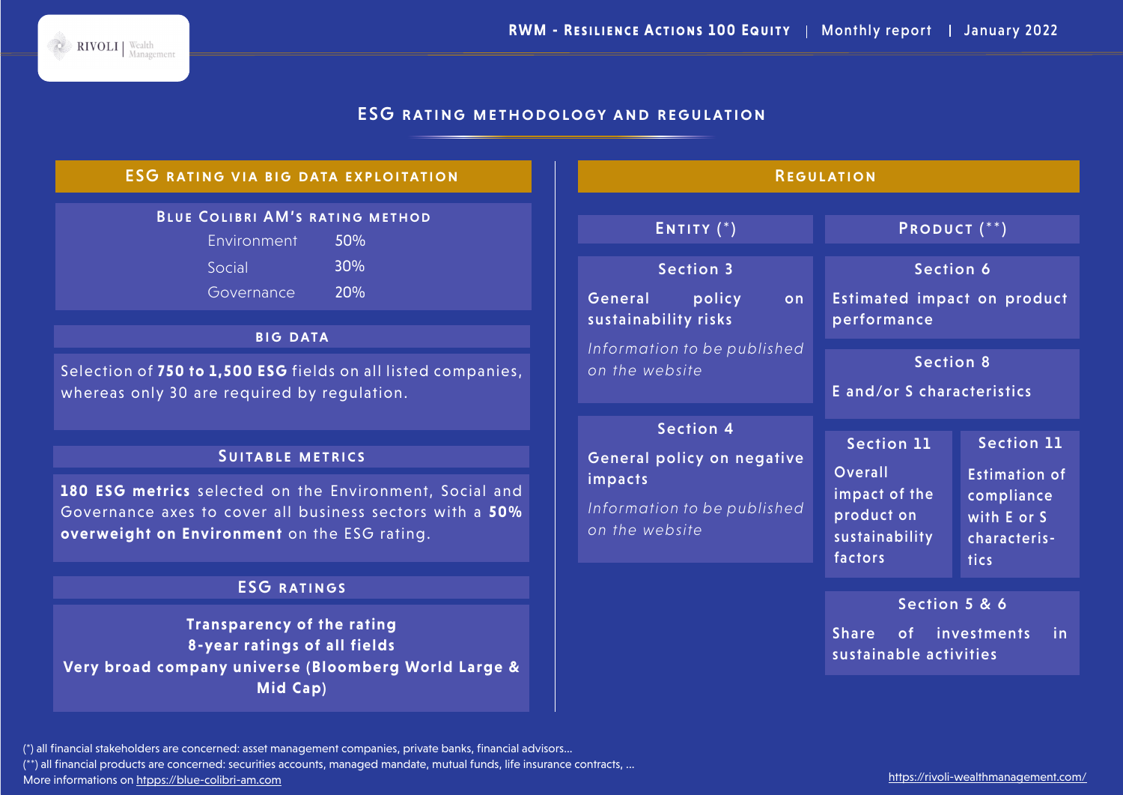## ESG rating methodology and regulation

#### Blue Colibri AM's rating method Environment 50% Social 30% Governance 20% ESG rating via big data exploitation **BIG DATA** Selection of **750 to 1,500 ESG** fields on all listed companies, whereas only 30 are required by regulation. SUITABLE METRICS **180 ESG metrics** selected on the Environment, Social and Governance axes to cover all business sectors with a **50% overweight on Environment** on the ESG rating. ESG ratings **Transparency of the rating 8-year ratings of all fields Very broad company universe (Bloomberg World Large & Mid Cap) REGULATION** ENTITY (\*) PRODUCT (\*\*) Section 3 General policy on sustainability risks *Information to be published on the website* Section 4 General policy on negative impacts *Information to be published on the website* Section 6 Estimated impact on product performance Section 11 Overall impact of the product on sustainability factors Section 11 Estimation of compliance with E or S characteristics Section 5 & 6 Share of investments in sustainable activities Section 8 E and/or S characteristics

(\*\*) all financial products are concerned: securities accounts, managed mandate, mutual funds, life insurance contracts, ...

More informations on htpps://blue-colibri-am.com

RIVOLI | Wealth

<sup>(\*)</sup> all financial stakeholders are concerned: asset management companies, private banks, financial advisors...